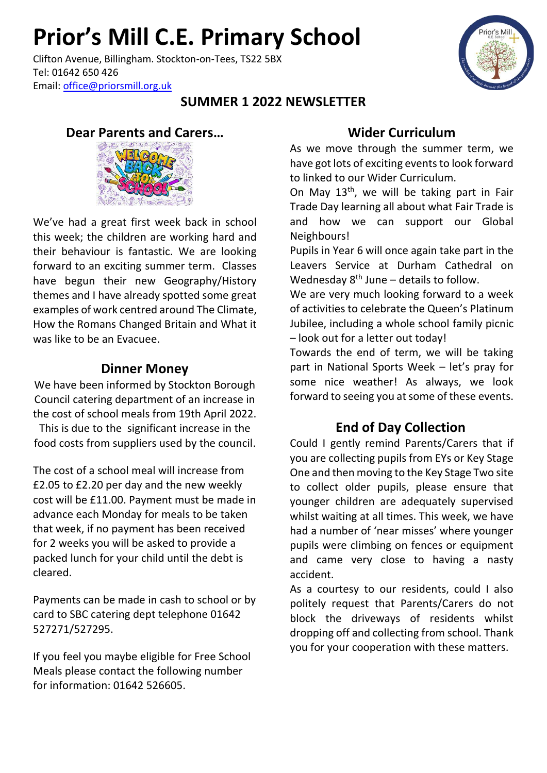## **Prior's Mill C.E. Primary School**

Clifton Avenue, Billingham. Stockton-on-Tees, TS22 5BX Tel: 01642 650 426 Email: [office@priorsmill.org.uk](mailto:office@priorsmill.org.uk)

#### **SUMMER 1 2022 NEWSLETTER**

#### **Dear Parents and Carers…**



We've had a great first week back in school this week; the children are working hard and their behaviour is fantastic. We are looking forward to an exciting summer term. Classes have begun their new Geography/History themes and I have already spotted some great examples of work centred around The Climate, How the Romans Changed Britain and What it was like to be an Evacuee.

### **Dinner Money**

We have been informed by Stockton Borough Council catering department of an increase in the cost of school meals from 19th April 2022. This is due to the significant increase in the food costs from suppliers used by the council.

The cost of a school meal will increase from £2.05 to £2.20 per day and the new weekly cost will be £11.00. Payment must be made in advance each Monday for meals to be taken that week, if no payment has been received for 2 weeks you will be asked to provide a packed lunch for your child until the debt is cleared.

Payments can be made in cash to school or by card to SBC catering dept telephone 01642 527271/527295.

If you feel you maybe eligible for Free School Meals please contact the following number for information: 01642 526605.

### **Wider Curriculum**

As we move through the summer term, we have got lots of exciting events to look forward to linked to our Wider Curriculum.

On May 13<sup>th</sup>, we will be taking part in Fair Trade Day learning all about what Fair Trade is and how we can support our Global Neighbours!

Pupils in Year 6 will once again take part in the Leavers Service at Durham Cathedral on Wednesday  $8<sup>th</sup>$  June – details to follow.

We are very much looking forward to a week of activities to celebrate the Queen's Platinum Jubilee, including a whole school family picnic – look out for a letter out today!

Towards the end of term, we will be taking part in National Sports Week – let's pray for some nice weather! As always, we look forward to seeing you at some of these events.

## **End of Day Collection**

Could I gently remind Parents/Carers that if you are collecting pupils from EYs or Key Stage One and then moving to the Key Stage Two site to collect older pupils, please ensure that younger children are adequately supervised whilst waiting at all times. This week, we have had a number of 'near misses' where younger pupils were climbing on fences or equipment and came very close to having a nasty accident.

As a courtesy to our residents, could I also politely request that Parents/Carers do not block the driveways of residents whilst dropping off and collecting from school. Thank you for your cooperation with these matters.